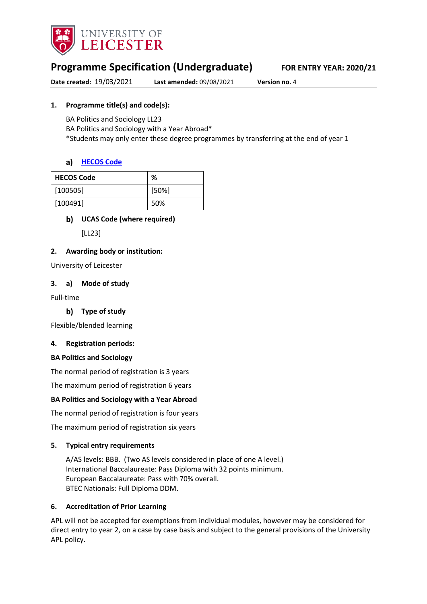

# **Programme Specification (Undergraduate) FOR ENTRY YEAR: 2020/21**

**Date created:** 19/03/2021 **Last amended:** 09/08/2021 **Version no.** 4

## **1. Programme title(s) and code(s):**

BA Politics and Sociology LL23 BA Politics and Sociology with a Year Abroad\* \*Students may only enter these degree programmes by transferring at the end of year 1

## **[HECOS Code](https://www.hesa.ac.uk/innovation/hecos)**

| <b>HECOS Code</b> | %     |
|-------------------|-------|
| [100505]          | [50%] |
| [100491]          | 50%   |

## **UCAS Code (where required)**

[LL23]

### **2. Awarding body or institution:**

University of Leicester

### **3. a) Mode of study**

Full-time

**Type of study**

Flexible/blended learning

### **4. Registration periods:**

### **BA Politics and Sociology**

The normal period of registration is 3 years

The maximum period of registration 6 years

## **BA Politics and Sociology with a Year Abroad**

The normal period of registration is four years

The maximum period of registration six years

### **5. Typical entry requirements**

A/AS levels: BBB. (Two AS levels considered in place of one A level.) International Baccalaureate: Pass Diploma with 32 points minimum. European Baccalaureate: Pass with 70% overall. BTEC Nationals: Full Diploma DDM.

### **6. Accreditation of Prior Learning**

APL will not be accepted for exemptions from individual modules, however may be considered for direct entry to year 2, on a case by case basis and subject to the general provisions of the University APL policy.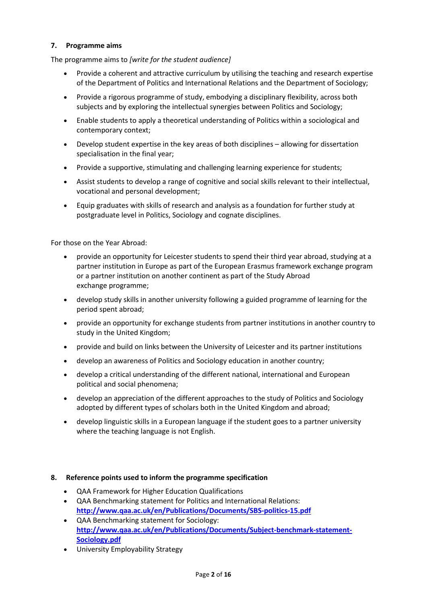## **7. Programme aims**

The programme aims to *[write for the student audience]*

- Provide a coherent and attractive curriculum by utilising the teaching and research expertise of the Department of Politics and International Relations and the Department of Sociology;
- Provide a rigorous programme of study, embodying a disciplinary flexibility, across both subjects and by exploring the intellectual synergies between Politics and Sociology;
- Enable students to apply a theoretical understanding of Politics within a sociological and contemporary context;
- Develop student expertise in the key areas of both disciplines allowing for dissertation specialisation in the final year;
- Provide a supportive, stimulating and challenging learning experience for students;
- Assist students to develop a range of cognitive and social skills relevant to their intellectual, vocational and personal development;
- Equip graduates with skills of research and analysis as a foundation for further study at postgraduate level in Politics, Sociology and cognate disciplines.

For those on the Year Abroad:

- provide an opportunity for Leicester students to spend their third year abroad, studying at a partner institution in Europe as part of the European Erasmus framework exchange program or a partner institution on another continent as part of the Study Abroad exchange programme;
- develop study skills in another university following a guided programme of learning for the period spent abroad;
- provide an opportunity for exchange students from partner institutions in another country to study in the United Kingdom;
- provide and build on links between the University of Leicester and its partner institutions
- develop an awareness of Politics and Sociology education in another country;
- develop a critical understanding of the different national, international and European political and social phenomena;
- develop an appreciation of the different approaches to the study of Politics and Sociology adopted by different types of scholars both in the United Kingdom and abroad;
- develop linguistic skills in a European language if the student goes to a partner university where the teaching language is not English.

### **8. Reference points used to inform the programme specification**

- QAA Framework for Higher Education Qualifications
- QAA Benchmarking statement for Politics and International Relations: **<http://www.qaa.ac.uk/en/Publications/Documents/SBS-politics-15.pdf>**
- QAA Benchmarking statement for Sociology: **[http://www.qaa.ac.uk/en/Publications/Documents/Subject-benchmark-statement-](http://www.qaa.ac.uk/en/Publications/Documents/Subject-benchmark-statement-Sociology.pdf)[Sociology.pdf](http://www.qaa.ac.uk/en/Publications/Documents/Subject-benchmark-statement-Sociology.pdf)**
- University Employability Strategy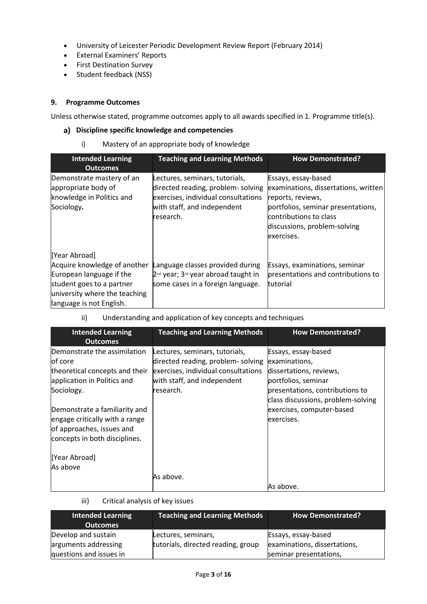- University of Leicester Periodic Development Review Report (February 2014)
- External Examiners' Reports
- First Destination Survey
- Student feedback (NSS)

## **9. Programme Outcomes**

Unless otherwise stated, programme outcomes apply to all awards specified in 1. Programme title(s).

### **Discipline specific knowledge and competencies**

i) Mastery of an appropriate body of knowledge

| <b>Intended Learning</b><br><b>Outcomes</b>                                                                                                                         | <b>Teaching and Learning Methods</b>                                                                                                                   | <b>How Demonstrated?</b>                                                                                                                                                                       |
|---------------------------------------------------------------------------------------------------------------------------------------------------------------------|--------------------------------------------------------------------------------------------------------------------------------------------------------|------------------------------------------------------------------------------------------------------------------------------------------------------------------------------------------------|
| Demonstrate mastery of an<br>appropriate body of<br>knowledge in Politics and<br>Sociology.                                                                         | Lectures, seminars, tutorials,<br>directed reading, problem-solving<br>exercises, individual consultations<br>with staff, and independent<br>research. | Essays, essay-based<br>examinations, dissertations, written<br>reports, reviews,<br>portfolios, seminar presentations,<br>contributions to class<br>discussions, problem-solving<br>exercises. |
| [Year Abroad]<br>Acquire knowledge of another<br>European language if the<br>student goes to a partner<br>university where the teaching<br>language is not English. | Language classes provided during<br>$2nd$ year; $3rd$ year abroad taught in<br>some cases in a foreign language.                                       | Essays, examinations, seminar<br>presentations and contributions to<br>tutorial                                                                                                                |

## ii) Understanding and application of key concepts and techniques

| <b>Intended Learning</b><br><b>Outcomes</b>                                                                                   | <b>Teaching and Learning Methods</b>                                                                                                                   | <b>How Demonstrated?</b>                                                                                                                                        |
|-------------------------------------------------------------------------------------------------------------------------------|--------------------------------------------------------------------------------------------------------------------------------------------------------|-----------------------------------------------------------------------------------------------------------------------------------------------------------------|
| Demonstrate the assimilation<br>of core<br>theoretical concepts and their<br>application in Politics and<br>Sociology.        | Lectures, seminars, tutorials,<br>directed reading, problem-solving<br>exercises, individual consultations<br>with staff, and independent<br>research. | Essays, essay-based<br>examinations,<br>dissertations, reviews,<br>portfolios, seminar<br>presentations, contributions to<br>class discussions, problem-solving |
| Demonstrate a familiarity and<br>engage critically with a range<br>of approaches, issues and<br>concepts in both disciplines. |                                                                                                                                                        | exercises, computer-based<br>exercises.                                                                                                                         |
| [Year Abroad]<br>As above                                                                                                     |                                                                                                                                                        |                                                                                                                                                                 |
|                                                                                                                               | As above.                                                                                                                                              | As above.                                                                                                                                                       |

iii) Critical analysis of key issues

| <b>Intended Learning</b><br><b>Outcomes</b> | <b>Teaching and Learning Methods</b>                      | <b>How Demonstrated?</b>                            |
|---------------------------------------------|-----------------------------------------------------------|-----------------------------------------------------|
| Develop and sustain<br>arguments addressing | Lectures, seminars,<br>tutorials, directed reading, group | Essays, essay-based<br>examinations, dissertations, |
| questions and issues in                     |                                                           | seminar presentations,                              |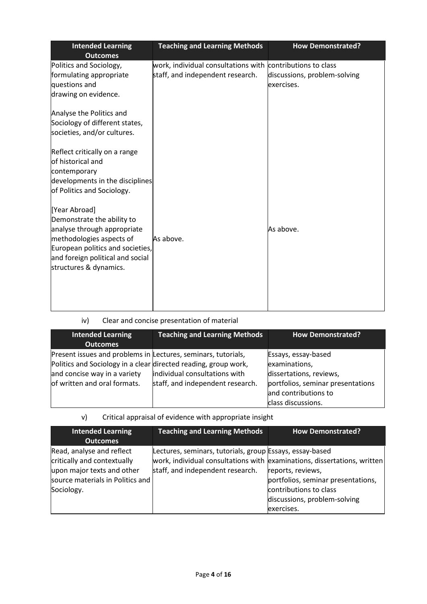| <b>Teaching and Learning Methods</b>                                                           | <b>How Demonstrated?</b>                                            |
|------------------------------------------------------------------------------------------------|---------------------------------------------------------------------|
| work, individual consultations with contributions to class<br>staff, and independent research. | discussions, problem-solving<br>exercises.                          |
|                                                                                                |                                                                     |
|                                                                                                |                                                                     |
| As above.                                                                                      | As above.                                                           |
|                                                                                                | developments in the disciplines<br>European politics and societies, |

# iv) Clear and concise presentation of material

| <b>Intended Learning</b><br><b>Outcomes</b>                                                                                                                                                      | <b>Teaching and Learning Methods</b>                              | <b>How Demonstrated?</b>                                                                                                                           |
|--------------------------------------------------------------------------------------------------------------------------------------------------------------------------------------------------|-------------------------------------------------------------------|----------------------------------------------------------------------------------------------------------------------------------------------------|
| Present issues and problems in Lectures, seminars, tutorials,<br>Politics and Sociology in a clear directed reading, group work,<br>and concise way in a variety<br>of written and oral formats. | individual consultations with<br>staff, and independent research. | Essays, essay-based<br>examinations,<br>dissertations, reviews,<br>portfolios, seminar presentations<br>and contributions to<br>class discussions. |

# v) Critical appraisal of evidence with appropriate insight

| <b>Intended Learning</b><br><b>Outcomes</b>                                                                                              | <b>Teaching and Learning Methods</b>                                                         | <b>How Demonstrated?</b>                                                                                                                                                                                    |
|------------------------------------------------------------------------------------------------------------------------------------------|----------------------------------------------------------------------------------------------|-------------------------------------------------------------------------------------------------------------------------------------------------------------------------------------------------------------|
| Read, analyse and reflect<br>critically and contextually<br>upon major texts and other<br>source materials in Politics and<br>Sociology. | Lectures, seminars, tutorials, group Essays, essay-based<br>staff, and independent research. | work, individual consultations with examinations, dissertations, written<br>reports, reviews,<br>portfolios, seminar presentations,<br>contributions to class<br>discussions, problem-solving<br>exercises. |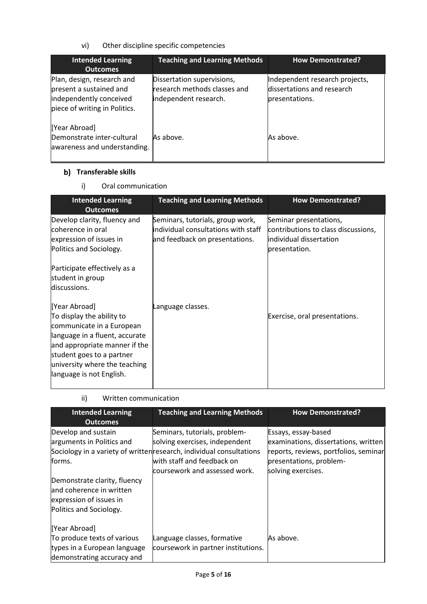vi) Other discipline specific competencies

| <b>Intended Learning</b><br><b>Outcomes</b>                                                                       | <b>Teaching and Learning Methods</b>                                                | <b>How Demonstrated?</b>                                                       |
|-------------------------------------------------------------------------------------------------------------------|-------------------------------------------------------------------------------------|--------------------------------------------------------------------------------|
| Plan, design, research and<br>present a sustained and<br>independently conceived<br>piece of writing in Politics. | Dissertation supervisions,<br>research methods classes and<br>independent research. | Independent research projects,<br>dissertations and research<br>presentations. |
| [Year Abroad]<br>Demonstrate inter-cultural<br>awareness and understanding.                                       | As above.                                                                           | As above.                                                                      |

## **b)** Transferable skills

i) Oral communication

| <b>Intended Learning</b><br><b>Outcomes</b>                                                                                                                                                                                          | <b>Teaching and Learning Methods</b>                                                                      | <b>How Demonstrated?</b>                                                                                  |
|--------------------------------------------------------------------------------------------------------------------------------------------------------------------------------------------------------------------------------------|-----------------------------------------------------------------------------------------------------------|-----------------------------------------------------------------------------------------------------------|
| Develop clarity, fluency and<br>coherence in oral<br>expression of issues in<br>Politics and Sociology.                                                                                                                              | Seminars, tutorials, group work,<br>individual consultations with staff<br>and feedback on presentations. | Seminar presentations,<br>contributions to class discussions,<br>individual dissertation<br>presentation. |
| Participate effectively as a<br>student in group<br>discussions.                                                                                                                                                                     |                                                                                                           |                                                                                                           |
| [Year Abroad]<br>To display the ability to<br>communicate in a European<br>language in a fluent, accurate<br>and appropriate manner if the<br>student goes to a partner<br>university where the teaching<br>language is not English. | Language classes.                                                                                         | Exercise, oral presentations.                                                                             |

| ii) | Written communication |
|-----|-----------------------|
|     |                       |

| <b>Intended Learning</b><br><b>Outcomes</b>                                                                    | <b>Teaching and Learning Methods</b>                                                                                                                                                                   | <b>How Demonstrated?</b>                                                                                                                              |
|----------------------------------------------------------------------------------------------------------------|--------------------------------------------------------------------------------------------------------------------------------------------------------------------------------------------------------|-------------------------------------------------------------------------------------------------------------------------------------------------------|
| Develop and sustain<br>arguments in Politics and<br>forms.                                                     | Seminars, tutorials, problem-<br>solving exercises, independent<br>Sociology in a variety of written research, individual consultations<br>with staff and feedback on<br>coursework and assessed work. | Essays, essay-based<br>examinations, dissertations, written<br>reports, reviews, portfolios, seminar<br>presentations, problem-<br>solving exercises. |
| Demonstrate clarity, fluency<br>and coherence in written<br>expression of issues in<br>Politics and Sociology. |                                                                                                                                                                                                        |                                                                                                                                                       |
| [Year Abroad]<br>To produce texts of various<br>types in a European language<br>demonstrating accuracy and     | Language classes, formative<br>coursework in partner institutions.                                                                                                                                     | As above.                                                                                                                                             |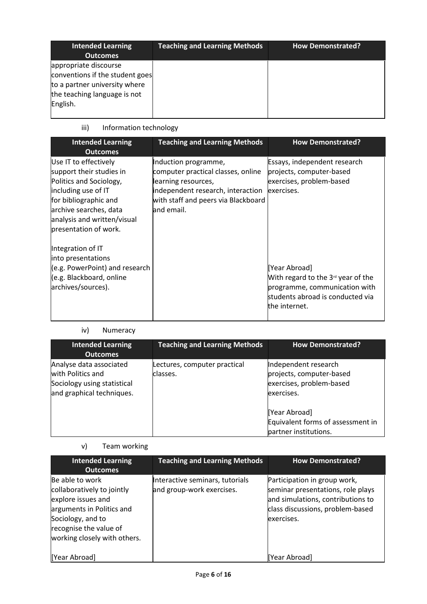| <b>Intended Learning</b><br><b>Outcomes</b>                                                                                           | <b>Teaching and Learning Methods</b> | <b>How Demonstrated?</b> |
|---------------------------------------------------------------------------------------------------------------------------------------|--------------------------------------|--------------------------|
| appropriate discourse<br>conventions if the student goes<br>to a partner university where<br>the teaching language is not<br>English. |                                      |                          |

# iii) Information technology

| Essays, independent research<br>Use IT to effectively<br>Induction programme,                                                                                                                                                                                                                                                                                                                                                                                                         | <b>Intended Learning</b><br><b>Outcomes</b> | <b>Teaching and Learning Methods</b> | <b>How Demonstrated?</b>                                                                                                              |
|---------------------------------------------------------------------------------------------------------------------------------------------------------------------------------------------------------------------------------------------------------------------------------------------------------------------------------------------------------------------------------------------------------------------------------------------------------------------------------------|---------------------------------------------|--------------------------------------|---------------------------------------------------------------------------------------------------------------------------------------|
| Politics and Sociology,<br>exercises, problem-based<br>learning resources,<br>including use of IT<br>independent research, interaction<br>exercises.<br>for bibliographic and<br>with staff and peers via Blackboard<br>archive searches, data<br>and email.<br>analysis and written/visual<br>presentation of work.<br>Integration of IT<br>into presentations<br>(e.g. PowerPoint) and research<br>[Year Abroad]<br>(e.g. Blackboard, online<br>archives/sources).<br>the internet. | support their studies in                    | computer practical classes, online   | projects, computer-based<br>With regard to the $3rd$ year of the<br>programme, communication with<br>students abroad is conducted via |

## iv) Numeracy

| <b>Intended Learning</b><br><b>Outcomes</b>                                                              | <b>Teaching and Learning Methods</b>     | <b>How Demonstrated?</b>                                                                   |
|----------------------------------------------------------------------------------------------------------|------------------------------------------|--------------------------------------------------------------------------------------------|
| Analyse data associated<br>with Politics and<br>Sociology using statistical<br>and graphical techniques. | Lectures, computer practical<br>classes. | Independent research<br>projects, computer-based<br>exercises, problem-based<br>exercises. |
|                                                                                                          |                                          | [Year Abroad]<br>Equivalent forms of assessment in<br>partner institutions.                |

# v) Team working

| <b>Intended Learning</b><br><b>Outcomes</b>                                                                                                                                     | <b>Teaching and Learning Methods</b>                         | <b>How Demonstrated?</b>                                                                                                                                 |
|---------------------------------------------------------------------------------------------------------------------------------------------------------------------------------|--------------------------------------------------------------|----------------------------------------------------------------------------------------------------------------------------------------------------------|
| Be able to work<br>collaboratively to jointly<br>explore issues and<br>arguments in Politics and<br>Sociology, and to<br>recognise the value of<br>working closely with others. | Interactive seminars, tutorials<br>and group-work exercises. | Participation in group work,<br>seminar presentations, role plays<br>and simulations, contributions to<br>class discussions, problem-based<br>exercises. |
| [Year Abroad]                                                                                                                                                                   |                                                              | [Year Abroad]                                                                                                                                            |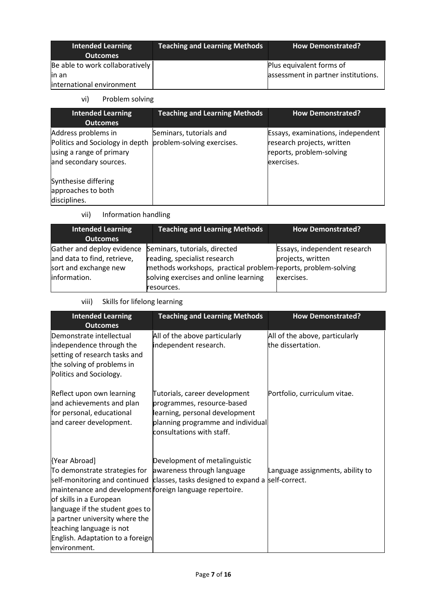| <b>Intended Learning</b><br><b>Outcomes</b> | Teaching and Learning Methods | <b>How Demonstrated?</b>            |
|---------------------------------------------|-------------------------------|-------------------------------------|
| Be able to work collaboratively             |                               | Plus equivalent forms of            |
| lin an                                      |                               | assessment in partner institutions. |
| international environment                   |                               |                                     |

# vi) Problem solving

| <b>Intended Learning</b><br><b>Outcomes</b>                                                                  | <b>Teaching and Learning Methods</b>                  | <b>How Demonstrated?</b>                                                                                  |
|--------------------------------------------------------------------------------------------------------------|-------------------------------------------------------|-----------------------------------------------------------------------------------------------------------|
| Address problems in<br>Politics and Sociology in depth<br>using a range of primary<br>and secondary sources. | Seminars, tutorials and<br>problem-solving exercises. | Essays, examinations, independent<br>research projects, written<br>reports, problem-solving<br>exercises. |
| Synthesise differing<br>approaches to both<br>disciplines.                                                   |                                                       |                                                                                                           |

vii) Information handling

| <b>Intended Learning</b><br><b>Outcomes</b>                                        | <b>Teaching and Learning Methods</b>                                                                                           | <b>How Demonstrated?</b>                          |  |
|------------------------------------------------------------------------------------|--------------------------------------------------------------------------------------------------------------------------------|---------------------------------------------------|--|
| Gather and deploy evidence<br>and data to find, retrieve,<br>sort and exchange new | Seminars, tutorials, directed<br>reading, specialist research<br>methods workshops, practical problem-reports, problem-solving | Essays, independent research<br>projects, written |  |
| information.                                                                       | solving exercises and online learning<br>resources.                                                                            | exercises.                                        |  |

viii) Skills for lifelong learning

| <b>Intended Learning</b><br><b>Outcomes</b>                                                                                                                                                                                                                                                | <b>Teaching and Learning Methods</b>                                                                                                                            | <b>How Demonstrated?</b>                            |
|--------------------------------------------------------------------------------------------------------------------------------------------------------------------------------------------------------------------------------------------------------------------------------------------|-----------------------------------------------------------------------------------------------------------------------------------------------------------------|-----------------------------------------------------|
| Demonstrate intellectual<br>independence through the<br>setting of research tasks and<br>the solving of problems in<br>Politics and Sociology.                                                                                                                                             | All of the above particularly<br>independent research.                                                                                                          | All of the above, particularly<br>the dissertation. |
| Reflect upon own learning<br>and achievements and plan<br>for personal, educational<br>and career development.                                                                                                                                                                             | Tutorials, career development<br>programmes, resource-based<br>learning, personal development<br>planning programme and individual<br>consultations with staff. | Portfolio, curriculum vitae.                        |
| [Year Abroad]<br>To demonstrate strategies for<br>maintenance and development foreign language repertoire.<br>of skills in a European<br>language if the student goes to<br>a partner university where the<br>teaching language is not<br>English. Adaptation to a foreign<br>environment. | Development of metalinguistic<br>awareness through language<br>self-monitoring and continued classes, tasks designed to expand a self-correct.                  | Language assignments, ability to                    |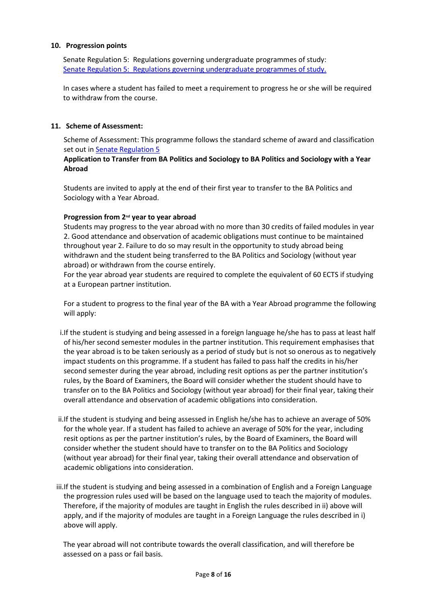### **10. Progression points**

Senate Regulation 5: Regulations governing undergraduate programmes of study: Senate Regulation 5: [Regulations governing undergraduate programmes of study.](http://www2.le.ac.uk/offices/sas2/regulations/documents/senatereg5-undergraduates.pdf)

In cases where a student has failed to meet a requirement to progress he or she will be required to withdraw from the course.

### **11. Scheme of Assessment:**

Scheme of Assessment: This programme follows the standard scheme of award and classification set out in [Senate Regulation 5](http://www2.le.ac.uk/offices/sas2/regulations/documents/senatereg5-undergraduates.pdf)

## **Application to Transfer from BA Politics and Sociology to BA Politics and Sociology with a Year Abroad**

Students are invited to apply at the end of their first year to transfer to the BA Politics and Sociology with a Year Abroad.

### **Progression from 2nd year to year abroad**

Students may progress to the year abroad with no more than 30 credits of failed modules in year 2. Good attendance and observation of academic obligations must continue to be maintained throughout year 2. Failure to do so may result in the opportunity to study abroad being withdrawn and the student being transferred to the BA Politics and Sociology (without year abroad) or withdrawn from the course entirely.

For the year abroad year students are required to complete the equivalent of 60 ECTS if studying at a European partner institution.

For a student to progress to the final year of the BA with a Year Abroad programme the following will apply:

- i.If the student is studying and being assessed in a foreign language he/she has to pass at least half of his/her second semester modules in the partner institution. This requirement emphasises that the year abroad is to be taken seriously as a period of study but is not so onerous as to negatively impact students on this programme. If a student has failed to pass half the credits in his/her second semester during the year abroad, including resit options as per the partner institution's rules, by the Board of Examiners, the Board will consider whether the student should have to transfer on to the BA Politics and Sociology (without year abroad) for their final year, taking their overall attendance and observation of academic obligations into consideration.
- ii.If the student is studying and being assessed in English he/she has to achieve an average of 50% for the whole year. If a student has failed to achieve an average of 50% for the year, including resit options as per the partner institution's rules, by the Board of Examiners, the Board will consider whether the student should have to transfer on to the BA Politics and Sociology (without year abroad) for their final year, taking their overall attendance and observation of academic obligations into consideration.
- iii.If the student is studying and being assessed in a combination of English and a Foreign Language the progression rules used will be based on the language used to teach the majority of modules. Therefore, if the majority of modules are taught in English the rules described in ii) above will apply, and if the majority of modules are taught in a Foreign Language the rules described in i) above will apply.

The year abroad will not contribute towards the overall classification, and will therefore be assessed on a pass or fail basis.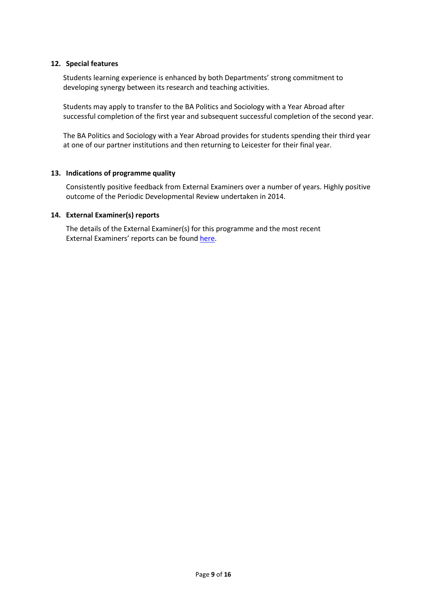### **12. Special features**

Students learning experience is enhanced by both Departments' strong commitment to developing synergy between its research and teaching activities.

Students may apply to transfer to the BA Politics and Sociology with a Year Abroad after successful completion of the first year and subsequent successful completion of the second year.

The BA Politics and Sociology with a Year Abroad provides for students spending their third year at one of our partner institutions and then returning to Leicester for their final year.

#### **13. Indications of programme quality**

Consistently positive feedback from External Examiners over a number of years. Highly positive outcome of the Periodic Developmental Review undertaken in 2014.

#### **14. External Examiner(s) reports**

The details of the External Examiner(s) for this programme and the most recent External Examiners' reports can be found [here.](https://exampapers.le.ac.uk/xmlui/handle/123456789/227)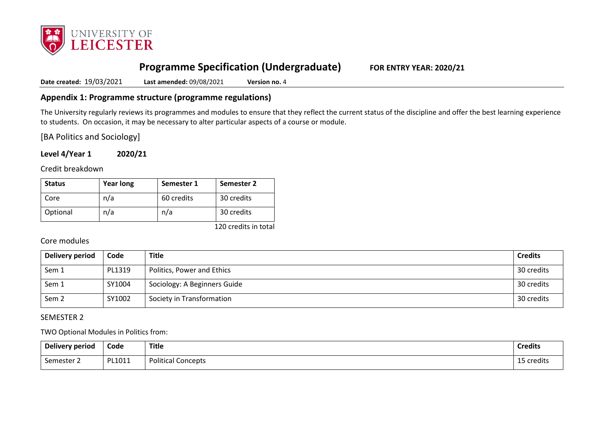

# **Programme Specification (Undergraduate) FOR ENTRY YEAR: 2020/21**

**Date created:** 19/03/2021 **Last amended:** 09/08/2021 **Version no.** 4

## **Appendix 1: Programme structure (programme regulations)**

The University regularly reviews its programmes and modules to ensure that they reflect the current status of the discipline and offer the best learning experience to students. On occasion, it may be necessary to alter particular aspects of a course or module.

[BA Politics and Sociology]

**Level 4/Year 1 2020/21**

Credit breakdown

| <b>Status</b> | <b>Year long</b> | Semester 1 | Semester 2 |
|---------------|------------------|------------|------------|
| Core          | n/a              | 60 credits | 30 credits |
| Optional      | n/a              | n/a        | 30 credits |

120 credits in total

## Core modules

| Delivery period  | Code   | Title                        | <b>Credits</b> |
|------------------|--------|------------------------------|----------------|
| Sem 1            | PL1319 | Politics, Power and Ethics   | 30 credits     |
| Sem 1            | SY1004 | Sociology: A Beginners Guide | 30 credits     |
| Sem <sub>2</sub> | SY1002 | Society in Transformation    | 30 credits     |

## SEMESTER 2

TWO Optional Modules in Politics from:

| Delivery period | Code   | <b>Title</b>              | <b>Credits</b> |
|-----------------|--------|---------------------------|----------------|
| Semester        | PL1011 | <b>Political Concepts</b> | 5 credits      |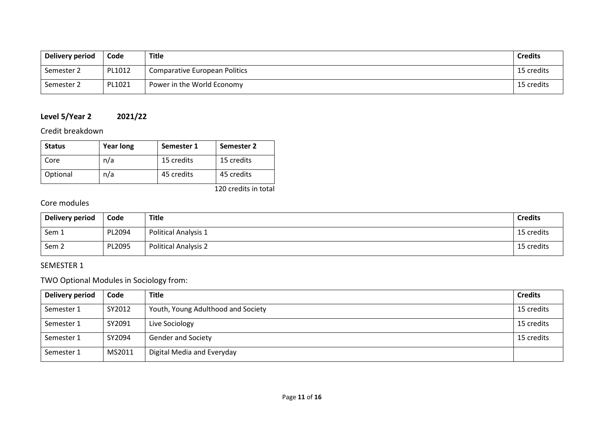| Delivery period | Code   | Title                                | <b>Credits</b> |
|-----------------|--------|--------------------------------------|----------------|
| Semester 2      | PL1012 | <b>Comparative European Politics</b> | 15 credits     |
| Semester 2      | PL1021 | Power in the World Economy           | 15 credits     |

# **Level 5/Year 2 2021/22**

# Credit breakdown

| <b>Status</b> | <b>Year long</b> | Semester 1 | Semester 2 |
|---------------|------------------|------------|------------|
| Core          | n/a              | 15 credits | 15 credits |
| Optional      | n/a              | 45 credits | 45 credits |

120 credits in total

# Core modules

| Delivery period  | Code   | Title                       | <b>Credits</b> |
|------------------|--------|-----------------------------|----------------|
| Sem 1            | PL2094 | <b>Political Analysis 1</b> | 15 credits     |
| Sem <sub>2</sub> | PL2095 | <b>Political Analysis 2</b> | 15 credits     |

# SEMESTER 1

# TWO Optional Modules in Sociology from:

| Delivery period | Code   | <b>Title</b>                       | <b>Credits</b> |
|-----------------|--------|------------------------------------|----------------|
| Semester 1      | SY2012 | Youth, Young Adulthood and Society | 15 credits     |
| Semester 1      | SY2091 | Live Sociology                     | 15 credits     |
| Semester 1      | SY2094 | <b>Gender and Society</b>          | 15 credits     |
| Semester 1      | MS2011 | Digital Media and Everyday         |                |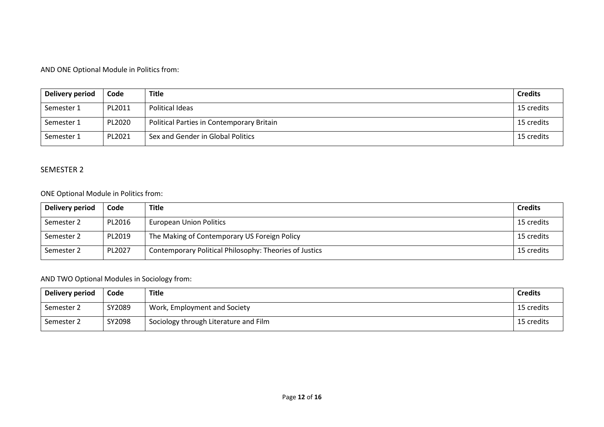## AND ONE Optional Module in Politics from:

| Delivery period | Code   | <b>Title</b>                              | <b>Credits</b> |
|-----------------|--------|-------------------------------------------|----------------|
| Semester 1      | PL2011 | Political Ideas                           | 15 credits     |
| Semester 1      | PL2020 | Political Parties in Contemporary Britain | 15 credits     |
| Semester 1      | PL2021 | Sex and Gender in Global Politics         | 15 credits     |

## SEMESTER 2

## ONE Optional Module in Politics from:

| Delivery period | Code   | <b>Title</b>                                           | <b>Credits</b> |
|-----------------|--------|--------------------------------------------------------|----------------|
| Semester 2      | PL2016 | <b>European Union Politics</b>                         | 15 credits     |
| Semester 2      | PL2019 | The Making of Contemporary US Foreign Policy           | 15 credits     |
| Semester 2      | PL2027 | Contemporary Political Philosophy: Theories of Justics | 15 credits     |

# AND TWO Optional Modules in Sociology from:

| Delivery period | Code   | <b>Title</b>                          | <b>Credits</b> |
|-----------------|--------|---------------------------------------|----------------|
| Semester 2      | SY2089 | Work, Employment and Society          | 15 credits     |
| Semester 2      | SY2098 | Sociology through Literature and Film | 15 credits     |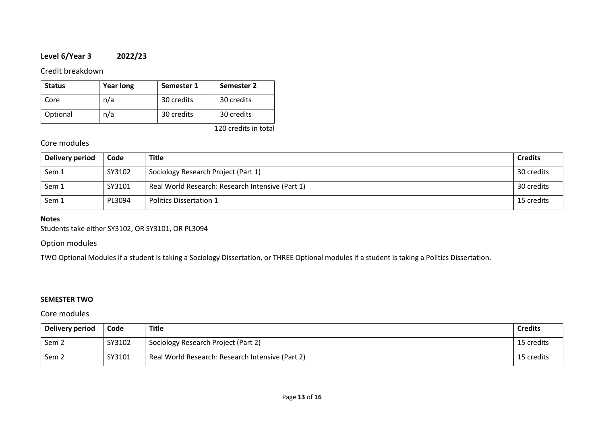# **Level 6/Year 3 2022/23**

## Credit breakdown

| <b>Status</b> | <b>Year long</b> | Semester 1 | Semester 2 |
|---------------|------------------|------------|------------|
| Core          | n/a              | 30 credits | 30 credits |
| Optional      | n/a              | 30 credits | 30 credits |

120 credits in total

## Core modules

| Delivery period | Code   | <b>Title</b>                                     | <b>Credits</b> |
|-----------------|--------|--------------------------------------------------|----------------|
| Sem 1           | SY3102 | Sociology Research Project (Part 1)              | 30 credits     |
| Sem 1           | SY3101 | Real World Research: Research Intensive (Part 1) | 30 credits     |
| Sem 1           | PL3094 | Politics Dissertation 1                          | 15 credits     |

### **Notes**

Students take either SY3102, OR SY3101, OR PL3094

## Option modules

TWO Optional Modules if a student is taking a Sociology Dissertation, or THREE Optional modules if a student is taking a Politics Dissertation.

## **SEMESTER TWO**

## Core modules

| Delivery period  | Code   | Title                                            | <b>Credits</b> |
|------------------|--------|--------------------------------------------------|----------------|
| Sem <sub>2</sub> | SY3102 | Sociology Research Project (Part 2)              | 15 credits     |
| Sem <sub>2</sub> | SY3101 | Real World Research: Research Intensive (Part 2) | 15 credits     |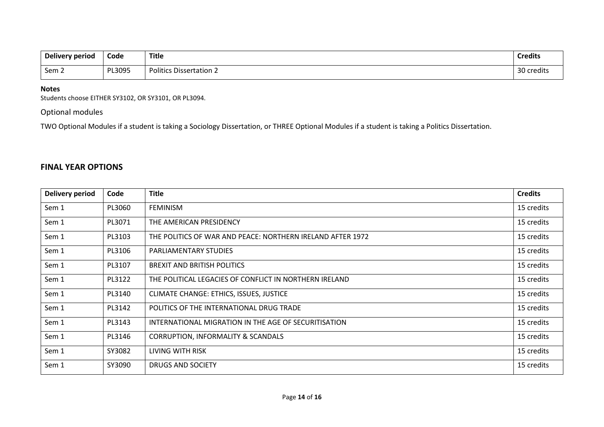| Delivery period | Code<br>- - - - | <b>Title</b>                   | <b>Credits</b>     |
|-----------------|-----------------|--------------------------------|--------------------|
| Sem 2           | PL3095          | <b>Politics Dissertation 2</b> | ึ 2∩<br>30 credits |

### **Notes**

Students choose EITHER SY3102, OR SY3101, OR PL3094.

Optional modules

TWO Optional Modules if a student is taking a Sociology Dissertation, or THREE Optional Modules if a student is taking a Politics Dissertation.

# **FINAL YEAR OPTIONS**

| <b>Delivery period</b> | Code   | <b>Title</b>                                               | <b>Credits</b> |
|------------------------|--------|------------------------------------------------------------|----------------|
| Sem 1                  | PL3060 | <b>FEMINISM</b>                                            | 15 credits     |
| Sem 1                  | PL3071 | THE AMERICAN PRESIDENCY                                    | 15 credits     |
| Sem 1                  | PL3103 | THE POLITICS OF WAR AND PEACE: NORTHERN IRELAND AFTER 1972 | 15 credits     |
| Sem 1                  | PL3106 | PARLIAMENTARY STUDIES                                      | 15 credits     |
| Sem 1                  | PL3107 | BREXIT AND BRITISH POLITICS                                | 15 credits     |
| Sem 1                  | PL3122 | THE POLITICAL LEGACIES OF CONFLICT IN NORTHERN IRELAND     | 15 credits     |
| Sem 1                  | PL3140 | CLIMATE CHANGE: ETHICS, ISSUES, JUSTICE                    | 15 credits     |
| Sem 1                  | PL3142 | POLITICS OF THE INTERNATIONAL DRUG TRADE                   | 15 credits     |
| Sem 1                  | PL3143 | INTERNATIONAL MIGRATION IN THE AGE OF SECURITISATION       | 15 credits     |
| Sem 1                  | PL3146 | CORRUPTION, INFORMALITY & SCANDALS                         | 15 credits     |
| Sem 1                  | SY3082 | LIVING WITH RISK                                           | 15 credits     |
| Sem 1                  | SY3090 | DRUGS AND SOCIETY                                          | 15 credits     |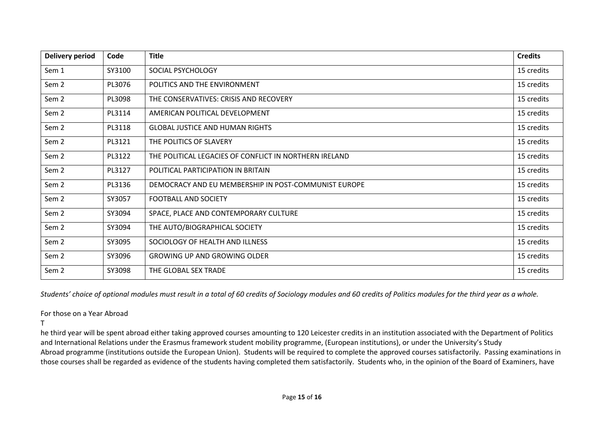| Delivery period  | Code   | <b>Title</b>                                           | <b>Credits</b> |
|------------------|--------|--------------------------------------------------------|----------------|
| Sem 1            | SY3100 | SOCIAL PSYCHOLOGY                                      | 15 credits     |
| Sem 2            | PL3076 | POLITICS AND THE ENVIRONMENT                           | 15 credits     |
| Sem 2            | PL3098 | THE CONSERVATIVES: CRISIS AND RECOVERY                 | 15 credits     |
| Sem <sub>2</sub> | PL3114 | AMERICAN POLITICAL DEVELOPMENT                         | 15 credits     |
| Sem <sub>2</sub> | PL3118 | <b>GLOBAL JUSTICE AND HUMAN RIGHTS</b>                 | 15 credits     |
| Sem 2            | PL3121 | THE POLITICS OF SLAVERY                                | 15 credits     |
| Sem <sub>2</sub> | PL3122 | THE POLITICAL LEGACIES OF CONFLICT IN NORTHERN IRELAND | 15 credits     |
| Sem 2            | PL3127 | POLITICAL PARTICIPATION IN BRITAIN                     | 15 credits     |
| Sem <sub>2</sub> | PL3136 | DEMOCRACY AND EU MEMBERSHIP IN POST-COMMUNIST EUROPE   | 15 credits     |
| Sem 2            | SY3057 | <b>FOOTBALL AND SOCIETY</b>                            | 15 credits     |
| Sem 2            | SY3094 | SPACE, PLACE AND CONTEMPORARY CULTURE                  | 15 credits     |
| Sem 2            | SY3094 | THE AUTO/BIOGRAPHICAL SOCIETY                          | 15 credits     |
| Sem <sub>2</sub> | SY3095 | SOCIOLOGY OF HEALTH AND ILLNESS                        | 15 credits     |
| Sem 2            | SY3096 | <b>GROWING UP AND GROWING OLDER</b>                    | 15 credits     |
| Sem <sub>2</sub> | SY3098 | THE GLOBAL SEX TRADE                                   | 15 credits     |

*Students' choice of optional modules must result in a total of 60 credits of Sociology modules and 60 credits of Politics modules for the third year as a whole.*

### For those on a Year Abroad

T

he third year will be spent abroad either taking approved courses amounting to 120 Leicester credits in an institution associated with the Department of Politics and International Relations under the Erasmus framework student mobility programme, (European institutions), or under the University's Study Abroad programme (institutions outside the European Union). Students will be required to complete the approved courses satisfactorily. Passing examinations in those courses shall be regarded as evidence of the students having completed them satisfactorily. Students who, in the opinion of the Board of Examiners, have